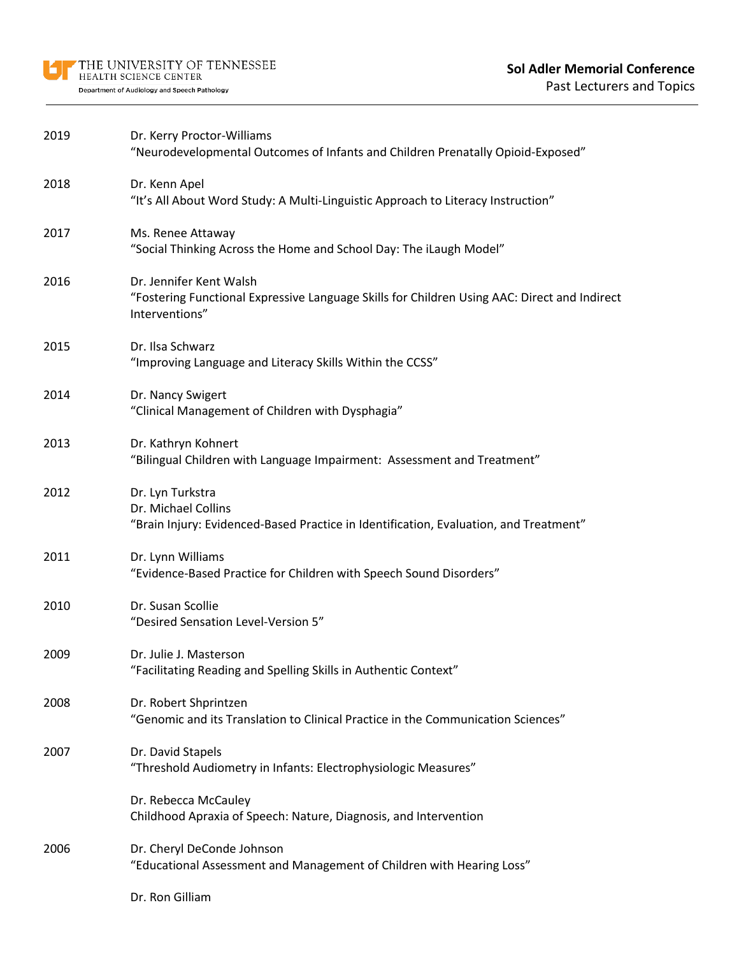| 2019 | Dr. Kerry Proctor-Williams<br>"Neurodevelopmental Outcomes of Infants and Children Prenatally Opioid-Exposed"                             |
|------|-------------------------------------------------------------------------------------------------------------------------------------------|
| 2018 | Dr. Kenn Apel<br>"It's All About Word Study: A Multi-Linguistic Approach to Literacy Instruction"                                         |
| 2017 | Ms. Renee Attaway<br>"Social Thinking Across the Home and School Day: The iLaugh Model"                                                   |
| 2016 | Dr. Jennifer Kent Walsh<br>"Fostering Functional Expressive Language Skills for Children Using AAC: Direct and Indirect<br>Interventions" |
| 2015 | Dr. Ilsa Schwarz<br>"Improving Language and Literacy Skills Within the CCSS"                                                              |
| 2014 | Dr. Nancy Swigert<br>"Clinical Management of Children with Dysphagia"                                                                     |
| 2013 | Dr. Kathryn Kohnert<br>"Bilingual Children with Language Impairment: Assessment and Treatment"                                            |
| 2012 | Dr. Lyn Turkstra<br>Dr. Michael Collins<br>"Brain Injury: Evidenced-Based Practice in Identification, Evaluation, and Treatment"          |
| 2011 | Dr. Lynn Williams<br>"Evidence-Based Practice for Children with Speech Sound Disorders"                                                   |
| 2010 | Dr. Susan Scollie<br>"Desired Sensation Level-Version 5"                                                                                  |
| 2009 | Dr. Julie J. Masterson<br>"Facilitating Reading and Spelling Skills in Authentic Context"                                                 |
| 2008 | Dr. Robert Shprintzen<br>"Genomic and its Translation to Clinical Practice in the Communication Sciences"                                 |
| 2007 | Dr. David Stapels<br>"Threshold Audiometry in Infants: Electrophysiologic Measures"                                                       |
|      | Dr. Rebecca McCauley<br>Childhood Apraxia of Speech: Nature, Diagnosis, and Intervention                                                  |
| 2006 | Dr. Cheryl DeConde Johnson<br>"Educational Assessment and Management of Children with Hearing Loss"                                       |
|      | Dr. Ron Gilliam                                                                                                                           |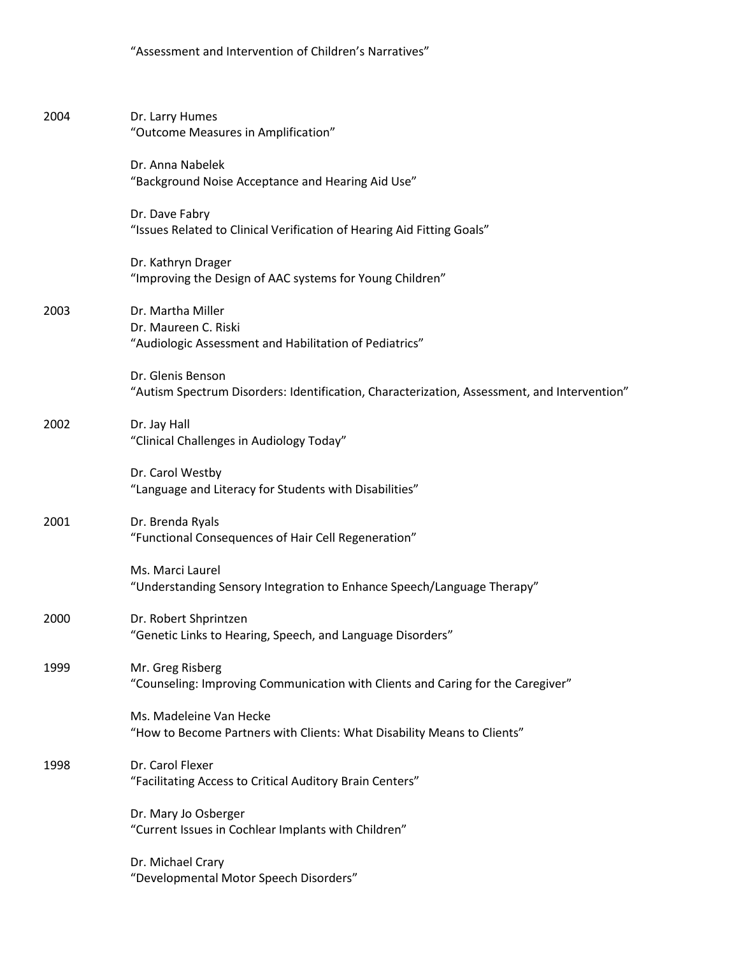| 2004 | Dr. Larry Humes<br>"Outcome Measures in Amplification"                                                           |
|------|------------------------------------------------------------------------------------------------------------------|
|      | Dr. Anna Nabelek<br>"Background Noise Acceptance and Hearing Aid Use"                                            |
|      | Dr. Dave Fabry<br>"Issues Related to Clinical Verification of Hearing Aid Fitting Goals"                         |
|      | Dr. Kathryn Drager<br>"Improving the Design of AAC systems for Young Children"                                   |
| 2003 | Dr. Martha Miller<br>Dr. Maureen C. Riski<br>"Audiologic Assessment and Habilitation of Pediatrics"              |
|      | Dr. Glenis Benson<br>"Autism Spectrum Disorders: Identification, Characterization, Assessment, and Intervention" |
| 2002 | Dr. Jay Hall<br>"Clinical Challenges in Audiology Today"                                                         |
|      | Dr. Carol Westby<br>"Language and Literacy for Students with Disabilities"                                       |
| 2001 | Dr. Brenda Ryals<br>"Functional Consequences of Hair Cell Regeneration"                                          |
|      | Ms. Marci Laurel<br>"Understanding Sensory Integration to Enhance Speech/Language Therapy"                       |
| 2000 | Dr. Robert Shprintzen<br>"Genetic Links to Hearing, Speech, and Language Disorders"                              |
| 1999 | Mr. Greg Risberg<br>"Counseling: Improving Communication with Clients and Caring for the Caregiver"              |
|      | Ms. Madeleine Van Hecke<br>"How to Become Partners with Clients: What Disability Means to Clients"               |
| 1998 | Dr. Carol Flexer<br>"Facilitating Access to Critical Auditory Brain Centers"                                     |
|      | Dr. Mary Jo Osberger<br>"Current Issues in Cochlear Implants with Children"                                      |
|      | Dr. Michael Crary<br>"Developmental Motor Speech Disorders"                                                      |